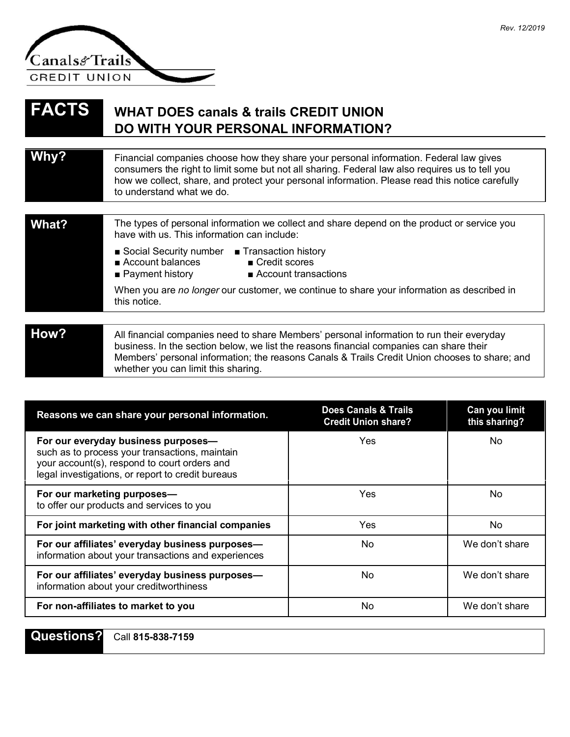

## **FACTS WHAT DOES canals & trails CREDIT UNION DO WITH YOUR PERSONAL INFORMATION?**

whether you can limit this sharing.

| Why?  | Financial companies choose how they share your personal information. Federal law gives<br>consumers the right to limit some but not all sharing. Federal law also requires us to tell you<br>how we collect, share, and protect your personal information. Please read this notice carefully<br>to understand what we do. |  |
|-------|---------------------------------------------------------------------------------------------------------------------------------------------------------------------------------------------------------------------------------------------------------------------------------------------------------------------------|--|
|       |                                                                                                                                                                                                                                                                                                                           |  |
| What? | The types of personal information we collect and share depend on the product or service you<br>have with us. This information can include:                                                                                                                                                                                |  |
|       | ■ Social Security number ■ Transaction history<br>Account balances<br>■ Credit scores<br>$\blacksquare$ Payment history<br>$\blacksquare$ Account transactions                                                                                                                                                            |  |
|       | When you are no longer our customer, we continue to share your information as described in<br>this notice.                                                                                                                                                                                                                |  |
|       |                                                                                                                                                                                                                                                                                                                           |  |
| How?  | All financial companies need to share Members' personal information to run their everyday<br>business. In the section below, we list the reasons financial companies can share their                                                                                                                                      |  |

Members' personal information; the reasons Canals & Trails Credit Union chooses to share; and

**Reasons we can share your personal information. Does Canals & Trails Can you limit Credit Union share? For our everyday business purposes—** Yes No such as to process your transactions, maintain your account(s), respond to court orders and legal investigations, or report to credit bureaus **For our marketing purposes—** No **No. 2018 Yes** No No to offer our products and services to you **For joint marketing with other financial companies** Yes No **For our affiliates' everyday business purposes—** No No No We don't share information about your transactions and experiences **For our affiliates' everyday business purposes—**  $\blacksquare$  No No We don't share information about your creditworthiness **For non-affiliates to market to you** No No We don't share

**Questions?** Call **815-838-7159**

*Rev. 12/2019*